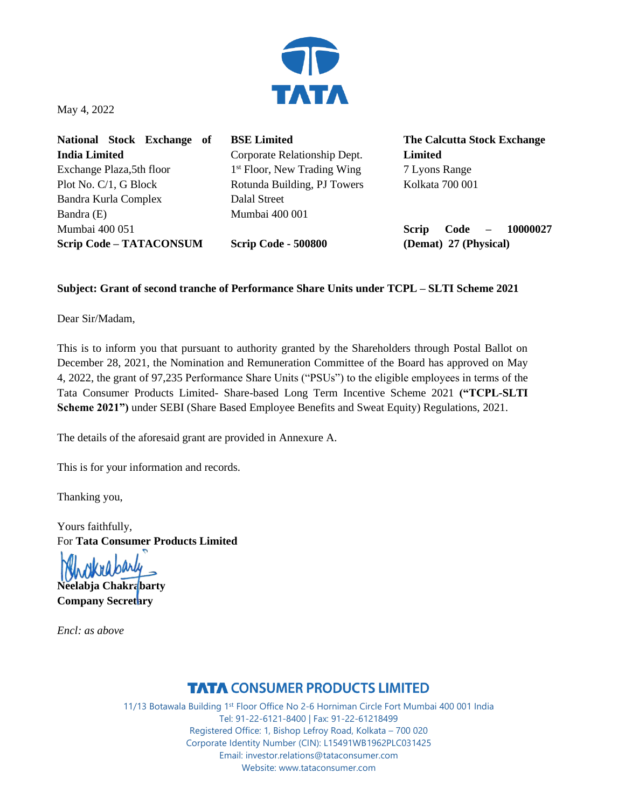

May 4, 2022

**National Stock Exchange of India Limited**  Exchange Plaza,5th floor Plot No. C/1, G Block Bandra Kurla Complex Bandra (E) Mumbai 400 051 **Scrip Code – TATACONSUM**

**BSE Limited**  Corporate Relationship Dept. 1<sup>st</sup> Floor, New Trading Wing Rotunda Building, PJ Towers Dalal Street Mumbai 400 001

**Scrip Code - 500800**

**The Calcutta Stock Exchange Limited** 7 Lyons Range Kolkata 700 001

**Scrip Code – 10000027 (Demat) 27 (Physical)**

## **Subject: Grant of second tranche of Performance Share Units under TCPL – SLTI Scheme 2021**

Dear Sir/Madam,

This is to inform you that pursuant to authority granted by the Shareholders through Postal Ballot on December 28, 2021, the Nomination and Remuneration Committee of the Board has approved on May 4, 2022, the grant of 97,235 Performance Share Units ("PSUs") to the eligible employees in terms of the Tata Consumer Products Limited- Share-based Long Term Incentive Scheme 2021 **("TCPL-SLTI Scheme 2021")** under SEBI (Share Based Employee Benefits and Sweat Equity) Regulations, 2021.

The details of the aforesaid grant are provided in Annexure A.

This is for your information and records.

Thanking you,

Yours faithfully, For **Tata Consumer Products Limited**

**Neelabja Chakrabarty Company Secretary**

*Encl: as above* 

## **TATA CONSUMER PRODUCTS LIMITED**

11/13 Botawala Building 1st Floor Office No 2-6 Horniman Circle Fort Mumbai 400 001 India Tel: 91-22-6121-8400 | Fax: 91-22-61218499 Registered Office: 1, Bishop Lefroy Road, Kolkata – 700 020 Corporate Identity Number (CIN): L15491WB1962PLC031425 Email: investor.relations@tataconsumer.com Website: www.tataconsumer.com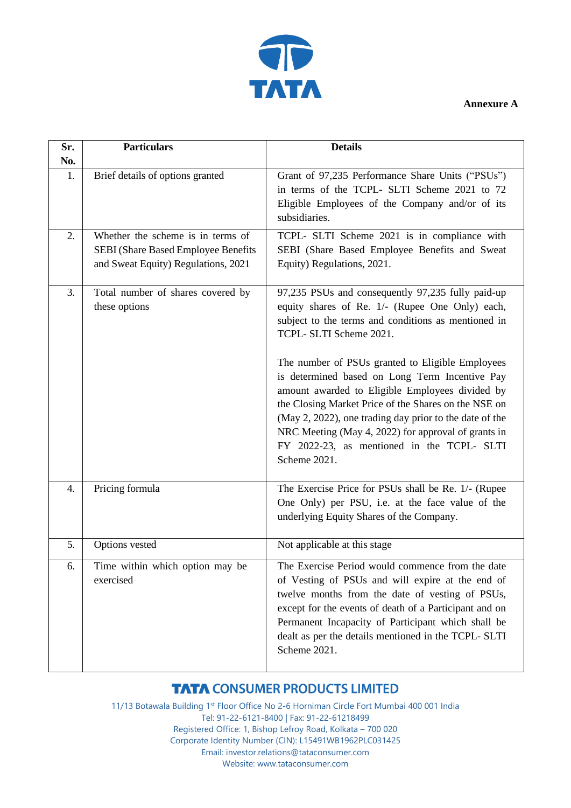

**Annexure A**

| Sr.              | <b>Particulars</b>                                                                                              | <b>Details</b>                                                                                                                                                                                                                                                                                                                                                                                                                                                                                                                                                                          |
|------------------|-----------------------------------------------------------------------------------------------------------------|-----------------------------------------------------------------------------------------------------------------------------------------------------------------------------------------------------------------------------------------------------------------------------------------------------------------------------------------------------------------------------------------------------------------------------------------------------------------------------------------------------------------------------------------------------------------------------------------|
| No.              |                                                                                                                 |                                                                                                                                                                                                                                                                                                                                                                                                                                                                                                                                                                                         |
| 1.               | Brief details of options granted                                                                                | Grant of 97,235 Performance Share Units ("PSUs")<br>in terms of the TCPL- SLTI Scheme 2021 to 72<br>Eligible Employees of the Company and/or of its<br>subsidiaries.                                                                                                                                                                                                                                                                                                                                                                                                                    |
| 2.               | Whether the scheme is in terms of<br>SEBI (Share Based Employee Benefits<br>and Sweat Equity) Regulations, 2021 | TCPL- SLTI Scheme 2021 is in compliance with<br>SEBI (Share Based Employee Benefits and Sweat<br>Equity) Regulations, 2021.                                                                                                                                                                                                                                                                                                                                                                                                                                                             |
| 3.               | Total number of shares covered by<br>these options                                                              | 97,235 PSUs and consequently 97,235 fully paid-up<br>equity shares of Re. 1/- (Rupee One Only) each,<br>subject to the terms and conditions as mentioned in<br>TCPL- SLTI Scheme 2021.<br>The number of PSUs granted to Eligible Employees<br>is determined based on Long Term Incentive Pay<br>amount awarded to Eligible Employees divided by<br>the Closing Market Price of the Shares on the NSE on<br>(May 2, 2022), one trading day prior to the date of the<br>NRC Meeting (May 4, 2022) for approval of grants in<br>FY 2022-23, as mentioned in the TCPL- SLTI<br>Scheme 2021. |
| $\overline{4}$ . | Pricing formula                                                                                                 | The Exercise Price for PSUs shall be Re. 1/- (Rupee<br>One Only) per PSU, i.e. at the face value of the<br>underlying Equity Shares of the Company.                                                                                                                                                                                                                                                                                                                                                                                                                                     |
| 5.               | Options vested                                                                                                  | Not applicable at this stage                                                                                                                                                                                                                                                                                                                                                                                                                                                                                                                                                            |
| 6.               | Time within which option may be<br>exercised                                                                    | The Exercise Period would commence from the date<br>of Vesting of PSUs and will expire at the end of<br>twelve months from the date of vesting of PSUs,<br>except for the events of death of a Participant and on<br>Permanent Incapacity of Participant which shall be<br>dealt as per the details mentioned in the TCPL- SLTI<br>Scheme 2021.                                                                                                                                                                                                                                         |

## **TATA CONSUMER PRODUCTS LIMITED**

11/13 Botawala Building 1st Floor Office No 2-6 Horniman Circle Fort Mumbai 400 001 India Tel: 91-22-6121-8400 | Fax: 91-22-61218499 Registered Office: 1, Bishop Lefroy Road, Kolkata – 700 020 Corporate Identity Number (CIN): L15491WB1962PLC031425 Email: investor.relations@tataconsumer.com Website: www.tataconsumer.com